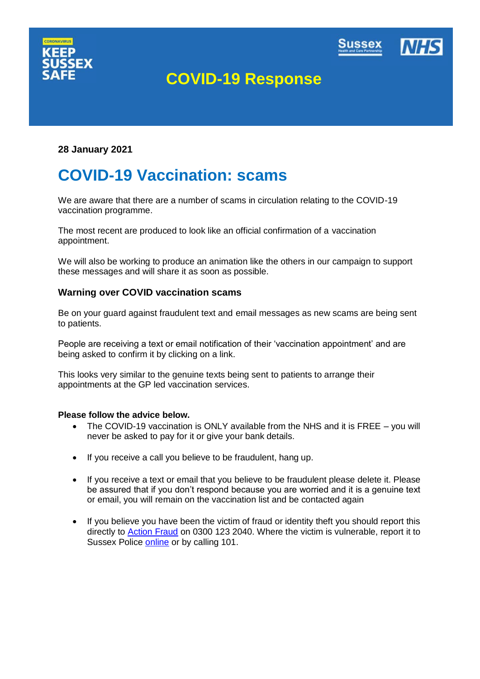



## **COVID-19 Response**

**28 January 2021**

# **COVID-19 Vaccination: scams**

We are aware that there are a number of scams in circulation relating to the COVID-19 vaccination programme.

The most recent are produced to look like an official confirmation of a vaccination appointment.

We will also be working to produce an animation like the others in our campaign to support these messages and will share it as soon as possible.

### **Warning over COVID vaccination scams**

Be on your guard against fraudulent text and email messages as new scams are being sent to patients.

People are receiving a text or email notification of their 'vaccination appointment' and are being asked to confirm it by clicking on a link.

This looks very similar to the genuine texts being sent to patients to arrange their appointments at the GP led vaccination services.

#### **Please follow the advice below.**

- The COVID-19 vaccination is ONLY available from the NHS and it is FREE you will never be asked to pay for it or give your bank details.
- If you receive a call you believe to be fraudulent, hang up.
- If you receive a text or email that you believe to be fraudulent please delete it. Please be assured that if you don't respond because you are worried and it is a genuine text or email, you will remain on the vaccination list and be contacted again
- If you believe you have been the victim of fraud or identity theft you should report this directly to [Action Fraud](https://www.actionfraud.police.uk/covid19) on 0300 123 2040. Where the victim is vulnerable, report it to Sussex Police [online](https://www.sussex.police.uk/ro/report/ocr/af/how-to-report-a-crime/) or by calling 101.